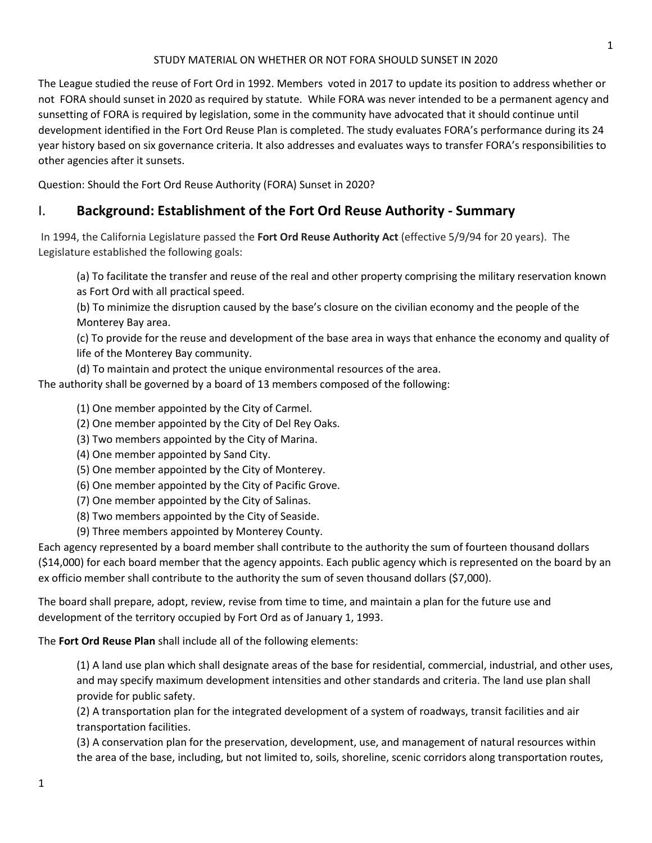The League studied the reuse of Fort Ord in 1992. Members voted in 2017 to update its position to address whether or not FORA should sunset in 2020 as required by statute. While FORA was never intended to be a permanent agency and sunsetting of FORA is required by legislation, some in the community have advocated that it should continue until development identified in the Fort Ord Reuse Plan is completed. The study evaluates FORA's performance during its 24 year history based on six governance criteria. It also addresses and evaluates ways to transfer FORA's responsibilities to other agencies after it sunsets.

Question: Should the Fort Ord Reuse Authority (FORA) Sunset in 2020?

### I. **Background: Establishment of the Fort Ord Reuse Authority - Summary**

In 1994, the California Legislature passed the **Fort Ord Reuse Authority Act** (effective 5/9/94 for 20 years). The Legislature established the following goals:

(a) To facilitate the transfer and reuse of the real and other property comprising the military reservation known as Fort Ord with all practical speed.

(b) To minimize the disruption caused by the base's closure on the civilian economy and the people of the Monterey Bay area.

(c) To provide for the reuse and development of the base area in ways that enhance the economy and quality of life of the Monterey Bay community.

(d) To maintain and protect the unique environmental resources of the area.

The authority shall be governed by a board of 13 members composed of the following:

- (1) One member appointed by the City of Carmel.
- (2) One member appointed by the City of Del Rey Oaks.
- (3) Two members appointed by the City of Marina.
- (4) One member appointed by Sand City.
- (5) One member appointed by the City of Monterey.
- (6) One member appointed by the City of Pacific Grove.
- (7) One member appointed by the City of Salinas.
- (8) Two members appointed by the City of Seaside.
- (9) Three members appointed by Monterey County.

Each agency represented by a board member shall contribute to the authority the sum of fourteen thousand dollars (\$14,000) for each board member that the agency appoints. Each public agency which is represented on the board by an ex officio member shall contribute to the authority the sum of seven thousand dollars (\$7,000).

The board shall prepare, adopt, review, revise from time to time, and maintain a plan for the future use and development of the territory occupied by Fort Ord as of January 1, 1993.

The **Fort Ord Reuse Plan** shall include all of the following elements:

(1) A land use plan which shall designate areas of the base for residential, commercial, industrial, and other uses, and may specify maximum development intensities and other standards and criteria. The land use plan shall provide for public safety.

(2) A transportation plan for the integrated development of a system of roadways, transit facilities and air transportation facilities.

(3) A conservation plan for the preservation, development, use, and management of natural resources within the area of the base, including, but not limited to, soils, shoreline, scenic corridors along transportation routes,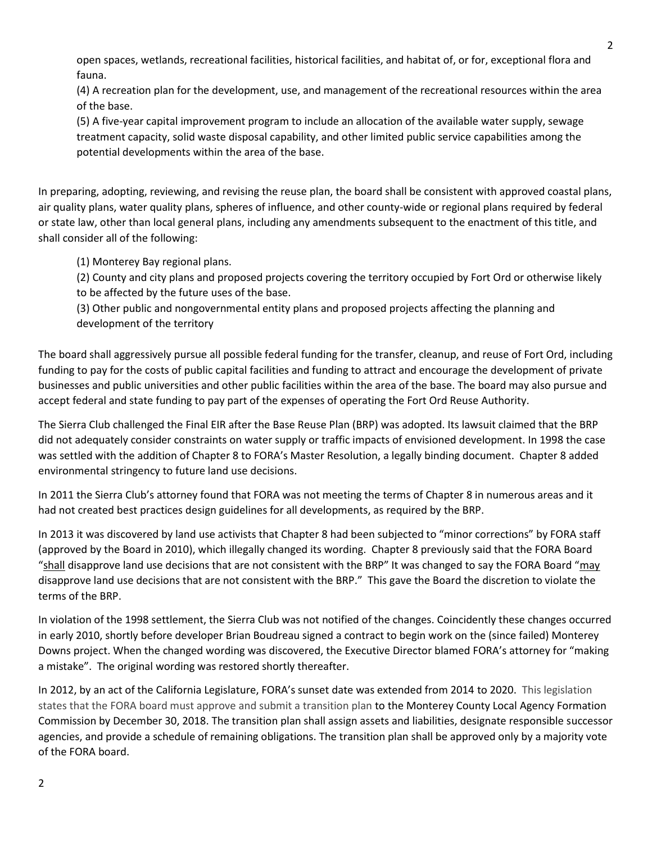open spaces, wetlands, recreational facilities, historical facilities, and habitat of, or for, exceptional flora and fauna.

(4) A recreation plan for the development, use, and management of the recreational resources within the area of the base.

(5) A five-year capital improvement program to include an allocation of the available water supply, sewage treatment capacity, solid waste disposal capability, and other limited public service capabilities among the potential developments within the area of the base.

In preparing, adopting, reviewing, and revising the reuse plan, the board shall be consistent with approved coastal plans, air quality plans, water quality plans, spheres of influence, and other county-wide or regional plans required by federal or state law, other than local general plans, including any amendments subsequent to the enactment of this title, and shall consider all of the following:

(1) Monterey Bay regional plans.

(2) County and city plans and proposed projects covering the territory occupied by Fort Ord or otherwise likely to be affected by the future uses of the base.

(3) Other public and nongovernmental entity plans and proposed projects affecting the planning and development of the territory

The board shall aggressively pursue all possible federal funding for the transfer, cleanup, and reuse of Fort Ord, including funding to pay for the costs of public capital facilities and funding to attract and encourage the development of private businesses and public universities and other public facilities within the area of the base. The board may also pursue and accept federal and state funding to pay part of the expenses of operating the Fort Ord Reuse Authority.

The Sierra Club challenged the Final EIR after the Base Reuse Plan (BRP) was adopted. Its lawsuit claimed that the BRP did not adequately consider constraints on water supply or traffic impacts of envisioned development. In 1998 the case was settled with the addition of Chapter 8 to FORA's Master Resolution, a legally binding document. Chapter 8 added environmental stringency to future land use decisions.

In 2011 the Sierra Club's attorney found that FORA was not meeting the terms of Chapter 8 in numerous areas and it had not created best practices design guidelines for all developments, as required by the BRP.

In 2013 it was discovered by land use activists that Chapter 8 had been subjected to "minor corrections" by FORA staff (approved by the Board in 2010), which illegally changed its wording. Chapter 8 previously said that the FORA Board "shall disapprove land use decisions that are not consistent with the BRP" It was changed to say the FORA Board "may disapprove land use decisions that are not consistent with the BRP." This gave the Board the discretion to violate the terms of the BRP.

In violation of the 1998 settlement, the Sierra Club was not notified of the changes. Coincidently these changes occurred in early 2010, shortly before developer Brian Boudreau signed a contract to begin work on the (since failed) Monterey Downs project. When the changed wording was discovered, the Executive Director blamed FORA's attorney for "making a mistake". The original wording was restored shortly thereafter.

In 2012, by an act of the California Legislature, FORA's sunset date was extended from 2014 to 2020. This legislation states that the FORA board must approve and submit a transition plan to the Monterey County Local Agency Formation Commission by December 30, 2018. The transition plan shall assign assets and liabilities, designate responsible successor agencies, and provide a schedule of remaining obligations. The transition plan shall be approved only by a majority vote of the FORA board.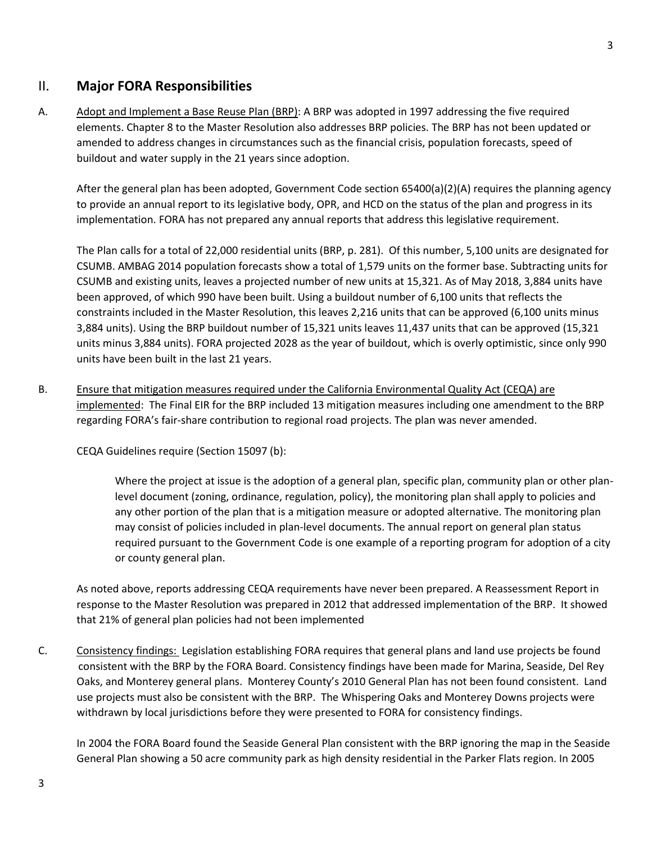### II. **Major FORA Responsibilities**

A. Adopt and Implement a Base Reuse Plan (BRP): A BRP was adopted in 1997 addressing the five required elements. Chapter 8 to the Master Resolution also addresses BRP policies. The BRP has not been updated or amended to address changes in circumstances such as the financial crisis, population forecasts, speed of buildout and water supply in the 21 years since adoption.

After the general plan has been adopted, Government Code section 65400(a)(2)(A) requires the planning agency to provide an annual report to its legislative body, OPR, and HCD on the status of the plan and progress in its implementation. FORA has not prepared any annual reports that address this legislative requirement.

The Plan calls for a total of 22,000 residential units (BRP, p. 281). Of this number, 5,100 units are designated for CSUMB. AMBAG 2014 population forecasts show a total of 1,579 units on the former base. Subtracting units for CSUMB and existing units, leaves a projected number of new units at 15,321. As of May 2018, 3,884 units have been approved, of which 990 have been built. Using a buildout number of 6,100 units that reflects the constraints included in the Master Resolution, this leaves 2,216 units that can be approved (6,100 units minus 3,884 units). Using the BRP buildout number of 15,321 units leaves 11,437 units that can be approved (15,321 units minus 3,884 units). FORA projected 2028 as the year of buildout, which is overly optimistic, since only 990 units have been built in the last 21 years.

B. Ensure that mitigation measures required under the California Environmental Quality Act (CEQA) are implemented: The Final EIR for the BRP included 13 mitigation measures including one amendment to the BRP regarding FORA's fair-share contribution to regional road projects. The plan was never amended.

CEQA Guidelines require (Section 15097 (b):

Where the project at issue is the adoption of a general plan, specific plan, community plan or other planlevel document (zoning, ordinance, regulation, policy), the monitoring plan shall apply to policies and any other portion of the plan that is a mitigation measure or adopted alternative. The monitoring plan may consist of policies included in plan-level documents. The annual report on general plan status required pursuant to the Government Code is one example of a reporting program for adoption of a city or county general plan.

As noted above, reports addressing CEQA requirements have never been prepared. A Reassessment Report in response to the Master Resolution was prepared in 2012 that addressed implementation of the BRP. It showed that 21% of general plan policies had not been implemented

C. Consistency findings: Legislation establishing FORA requires that general plans and land use projects be found consistent with the BRP by the FORA Board. Consistency findings have been made for Marina, Seaside, Del Rey Oaks, and Monterey general plans. Monterey County's 2010 General Plan has not been found consistent. Land use projects must also be consistent with the BRP. The Whispering Oaks and Monterey Downs projects were withdrawn by local jurisdictions before they were presented to FORA for consistency findings.

In 2004 the FORA Board found the Seaside General Plan consistent with the BRP ignoring the map in the Seaside General Plan showing a 50 acre community park as high density residential in the Parker Flats region. In 2005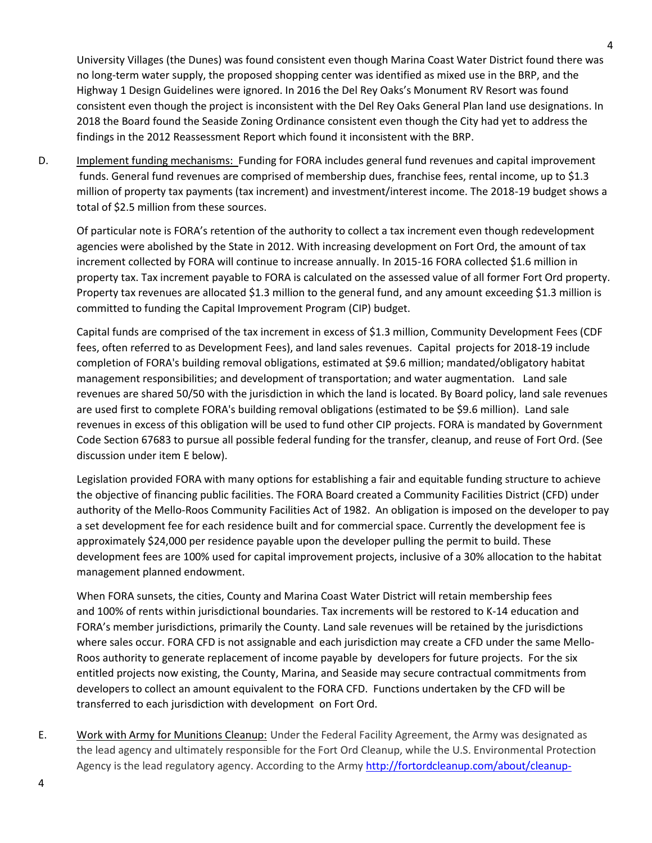University Villages (the Dunes) was found consistent even though Marina Coast Water District found there was no long-term water supply, the proposed shopping center was identified as mixed use in the BRP, and the Highway 1 Design Guidelines were ignored. In 2016 the Del Rey Oaks's Monument RV Resort was found consistent even though the project is inconsistent with the Del Rey Oaks General Plan land use designations. In 2018 the Board found the Seaside Zoning Ordinance consistent even though the City had yet to address the findings in the 2012 Reassessment Report which found it inconsistent with the BRP.

D. Implement funding mechanisms: Funding for FORA includes general fund revenues and capital improvement funds. General fund revenues are comprised of membership dues, franchise fees, rental income, up to \$1.3 million of property tax payments (tax increment) and investment/interest income. The 2018-19 budget shows a total of \$2.5 million from these sources.

Of particular note is FORA's retention of the authority to collect a tax increment even though redevelopment agencies were abolished by the State in 2012. With increasing development on Fort Ord, the amount of tax increment collected by FORA will continue to increase annually. In 2015-16 FORA collected \$1.6 million in property tax. Tax increment payable to FORA is calculated on the assessed value of all former Fort Ord property. Property tax revenues are allocated \$1.3 million to the general fund, and any amount exceeding \$1.3 million is committed to funding the Capital Improvement Program (CIP) budget.

Capital funds are comprised of the tax increment in excess of \$1.3 million, Community Development Fees (CDF fees, often referred to as Development Fees), and land sales revenues. Capital projects for 2018-19 include completion of FORA's building removal obligations, estimated at \$9.6 million; mandated/obligatory habitat management responsibilities; and development of transportation; and water augmentation. Land sale revenues are shared 50/50 with the jurisdiction in which the land is located. By Board policy, land sale revenues are used first to complete FORA's building removal obligations (estimated to be \$9.6 million). Land sale revenues in excess of this obligation will be used to fund other CIP projects. FORA is mandated by Government Code Section 67683 to pursue all possible federal funding for the transfer, cleanup, and reuse of Fort Ord. (See discussion under item E below).

Legislation provided FORA with many options for establishing a fair and equitable funding structure to achieve the objective of financing public facilities. The FORA Board created a Community Facilities District (CFD) under authority of the Mello-Roos Community Facilities Act of 1982. An obligation is imposed on the developer to pay a set development fee for each residence built and for commercial space. Currently the development fee is approximately \$24,000 per residence payable upon the developer pulling the permit to build. These development fees are 100% used for capital improvement projects, inclusive of a 30% allocation to the habitat management planned endowment.

When FORA sunsets, the cities, County and Marina Coast Water District will retain membership fees and 100% of rents within jurisdictional boundaries. Tax increments will be restored to K-14 education and FORA's member jurisdictions, primarily the County. Land sale revenues will be retained by the jurisdictions where sales occur. FORA CFD is not assignable and each jurisdiction may create a CFD under the same Mello-Roos authority to generate replacement of income payable by developers for future projects. For the six entitled projects now existing, the County, Marina, and Seaside may secure contractual commitments from developers to collect an amount equivalent to the FORA CFD. Functions undertaken by the CFD will be transferred to each jurisdiction with development on Fort Ord.

E. Work with Army for Munitions Cleanup: Under the Federal Facility Agreement, the Army was designated as the lead agency and ultimately responsible for the Fort Ord Cleanup, while the U.S. Environmental Protection Agency is the lead regulatory agency. According to the Arm[y http://fortordcleanup.com/about/cleanup-](http://fortordcleanup.com/about/cleanup-background/)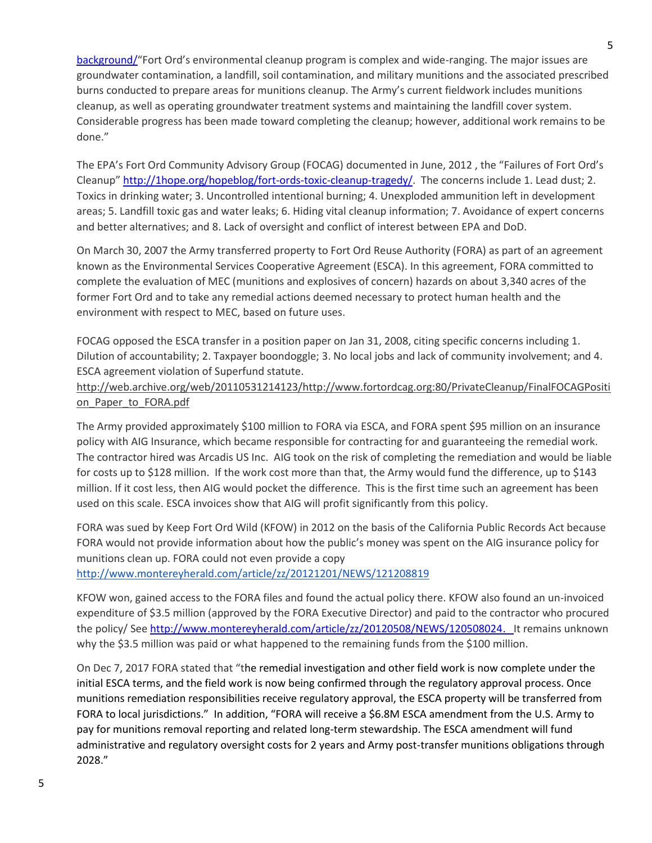background/"Fort Ord's environmental cleanup program is complex and wide-ranging. The major issues are groundwater contamination, a landfill, soil contamination, and military munitions and the associated prescribed burns conducted to prepare areas for munitions cleanup. The Army's current fieldwork includes munitions cleanup, as well as operating groundwater treatment systems and maintaining the landfill cover system. Considerable progress has been made toward completing the cleanup; however, additional work remains to be done."

The EPA's Fort Ord Community Advisory Group (FOCAG) documented in June, 2012 , the "Failures of Fort Ord's Cleanup" [http://1hope.org/hopeblog/fort-ords-toxic-cleanup-tragedy/.](http://1hope.org/hopeblog/fort-ords-toxic-cleanup-tragedy/) The concerns include 1. Lead dust; 2. Toxics in drinking water; 3. Uncontrolled intentional burning; 4. Unexploded ammunition left in development areas; 5. Landfill toxic gas and water leaks; 6. Hiding vital cleanup information; 7. Avoidance of expert concerns and better alternatives; and 8. Lack of oversight and conflict of interest between EPA and DoD.

On March 30, 2007 the Army transferred property to Fort Ord Reuse Authority (FORA) as part of an agreement known as the Environmental Services Cooperative Agreement (ESCA). In this agreement, FORA committed to complete the evaluation of MEC (munitions and explosives of concern) hazards on about 3,340 acres of the former Fort Ord and to take any remedial actions deemed necessary to protect human health and the environment with respect to MEC, based on future uses.

FOCAG opposed the ESCA transfer in a position paper on Jan 31, 2008, citing specific concerns including 1. Dilution of accountability; 2. Taxpayer boondoggle; 3. No local jobs and lack of community involvement; and 4. ESCA agreement violation of Superfund statute.

#### http://web.archive.org/web/20110531214123/http://www.fortordcag.org:80/PrivateCleanup/FinalFOCAGPositi on Paper to FORA.pdf

The Army provided approximately \$100 million to FORA via ESCA, and FORA spent \$95 million on an insurance policy with AIG Insurance, which became responsible for contracting for and guaranteeing the remedial work. The contractor hired was Arcadis US Inc. AIG took on the risk of completing the remediation and would be liable for costs up to \$128 million. If the work cost more than that, the Army would fund the difference, up to \$143 million. If it cost less, then AIG would pocket the difference. This is the first time such an agreement has been used on this scale. ESCA invoices show that AIG will profit significantly from this policy.

FORA was sued by Keep Fort Ord Wild (KFOW) in 2012 on the basis of the California Public Records Act because FORA would not provide information about how the public's money was spent on the AIG insurance policy for munitions clean up. FORA could not even provide a copy

<http://www.montereyherald.com/article/zz/20121201/NEWS/121208819>

KFOW won, gained access to the FORA files and found the actual policy there. KFOW also found an un-invoiced expenditure of \$3.5 million (approved by the FORA Executive Director) and paid to the contractor who procured the policy/ See [http://www.montereyherald.com/article/zz/20120508/NEWS/120508024.](http://www.montereyherald.com/article/zz/20120508/NEWS/120508024) It remains unknown why the \$3.5 million was paid or what happened to the remaining funds from the \$100 million.

On Dec 7, 2017 FORA stated that "the remedial investigation and other field work is now complete under the initial ESCA terms, and the field work is now being confirmed through the regulatory approval process. Once munitions remediation responsibilities receive regulatory approval, the ESCA property will be transferred from FORA to local jurisdictions." In addition, "FORA will receive a \$6.8M ESCA amendment from the U.S. Army to pay for munitions removal reporting and related long-term stewardship. The ESCA amendment will fund administrative and regulatory oversight costs for 2 years and Army post-transfer munitions obligations through 2028."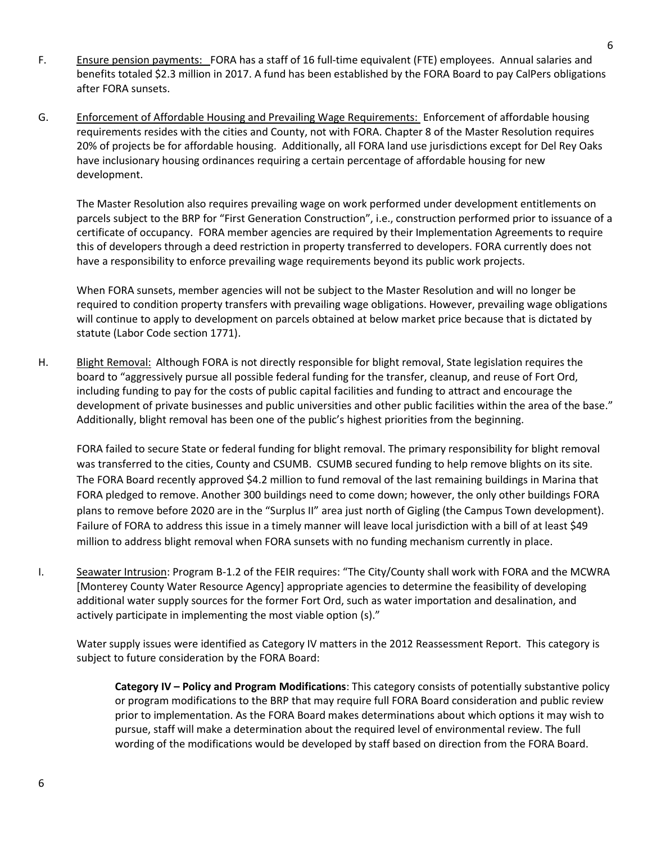- F. Ensure pension payments: FORA has a staff of 16 full-time equivalent (FTE) employees. Annual salaries and benefits totaled \$2.3 million in 2017. A fund has been established by the FORA Board to pay CalPers obligations after FORA sunsets.
- G. Enforcement of Affordable Housing and Prevailing Wage Requirements: Enforcement of affordable housing requirements resides with the cities and County, not with FORA. Chapter 8 of the Master Resolution requires 20% of projects be for affordable housing. Additionally, all FORA land use jurisdictions except for Del Rey Oaks have inclusionary housing ordinances requiring a certain percentage of affordable housing for new development.

The Master Resolution also requires prevailing wage on work performed under development entitlements on parcels subject to the BRP for "First Generation Construction", i.e., construction performed prior to issuance of a certificate of occupancy. FORA member agencies are required by their Implementation Agreements to require this of developers through a deed restriction in property transferred to developers. FORA currently does not have a responsibility to enforce prevailing wage requirements beyond its public work projects.

When FORA sunsets, member agencies will not be subject to the Master Resolution and will no longer be required to condition property transfers with prevailing wage obligations. However, prevailing wage obligations will continue to apply to development on parcels obtained at below market price because that is dictated by statute (Labor Code section 1771).

H. Blight Removal: Although FORA is not directly responsible for blight removal, State legislation requires the board to "aggressively pursue all possible federal funding for the transfer, cleanup, and reuse of Fort Ord, including funding to pay for the costs of public capital facilities and funding to attract and encourage the development of private businesses and public universities and other public facilities within the area of the base." Additionally, blight removal has been one of the public's highest priorities from the beginning.

FORA failed to secure State or federal funding for blight removal. The primary responsibility for blight removal was transferred to the cities, County and CSUMB. CSUMB secured funding to help remove blights on its site. The FORA Board recently approved \$4.2 million to fund removal of the last remaining buildings in Marina that FORA pledged to remove. Another 300 buildings need to come down; however, the only other buildings FORA plans to remove before 2020 are in the "Surplus II" area just north of Gigling (the Campus Town development). Failure of FORA to address this issue in a timely manner will leave local jurisdiction with a bill of at least \$49 million to address blight removal when FORA sunsets with no funding mechanism currently in place.

I. Seawater Intrusion: Program B-1.2 of the FEIR requires: "The City/County shall work with FORA and the MCWRA [Monterey County Water Resource Agency] appropriate agencies to determine the feasibility of developing additional water supply sources for the former Fort Ord, such as water importation and desalination, and actively participate in implementing the most viable option (s)."

Water supply issues were identified as Category IV matters in the 2012 Reassessment Report. This category is subject to future consideration by the FORA Board:

**Category IV – Policy and Program Modifications**: This category consists of potentially substantive policy or program modifications to the BRP that may require full FORA Board consideration and public review prior to implementation. As the FORA Board makes determinations about which options it may wish to pursue, staff will make a determination about the required level of environmental review. The full wording of the modifications would be developed by staff based on direction from the FORA Board.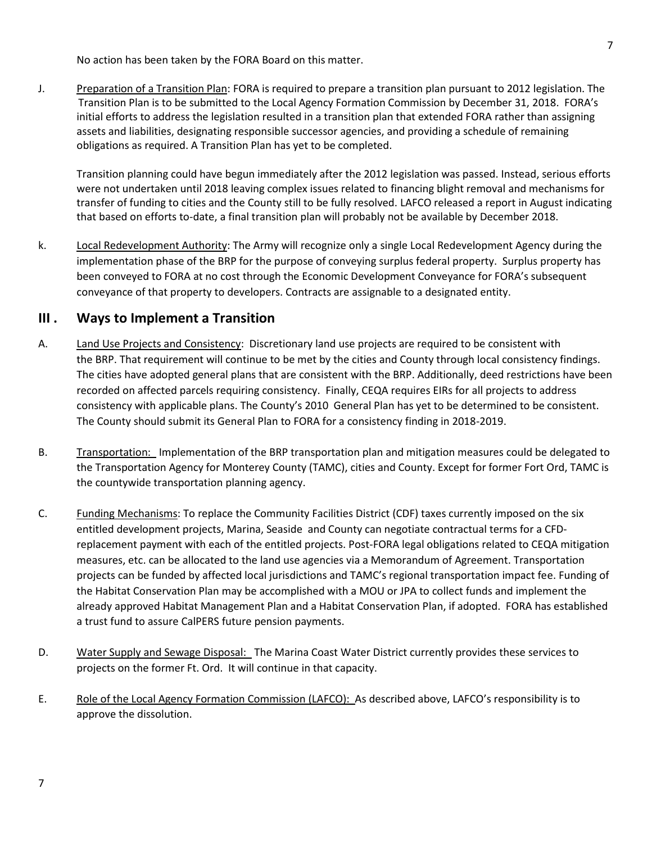No action has been taken by the FORA Board on this matter.

J. Preparation of a Transition Plan: FORA is required to prepare a transition plan pursuant to 2012 legislation. The Transition Plan is to be submitted to the Local Agency Formation Commission by December 31, 2018. FORA's initial efforts to address the legislation resulted in a transition plan that extended FORA rather than assigning assets and liabilities, designating responsible successor agencies, and providing a schedule of remaining obligations as required. A Transition Plan has yet to be completed.

Transition planning could have begun immediately after the 2012 legislation was passed. Instead, serious efforts were not undertaken until 2018 leaving complex issues related to financing blight removal and mechanisms for transfer of funding to cities and the County still to be fully resolved. LAFCO released a report in August indicating that based on efforts to-date, a final transition plan will probably not be available by December 2018.

k. Local Redevelopment Authority: The Army will recognize only a single Local Redevelopment Agency during the implementation phase of the BRP for the purpose of conveying surplus federal property. Surplus property has been conveyed to FORA at no cost through the Economic Development Conveyance for FORA's subsequent conveyance of that property to developers. Contracts are assignable to a designated entity.

### **III . Ways to Implement a Transition**

- A. Land Use Projects and Consistency: Discretionary land use projects are required to be consistent with the BRP. That requirement will continue to be met by the cities and County through local consistency findings. The cities have adopted general plans that are consistent with the BRP. Additionally, deed restrictions have been recorded on affected parcels requiring consistency. Finally, CEQA requires EIRs for all projects to address consistency with applicable plans. The County's 2010 General Plan has yet to be determined to be consistent. The County should submit its General Plan to FORA for a consistency finding in 2018-2019.
- B. Transportation: Implementation of the BRP transportation plan and mitigation measures could be delegated to the Transportation Agency for Monterey County (TAMC), cities and County. Except for former Fort Ord, TAMC is the countywide transportation planning agency.
- C. Funding Mechanisms: To replace the Community Facilities District (CDF) taxes currently imposed on the six entitled development projects, Marina, Seaside and County can negotiate contractual terms for a CFDreplacement payment with each of the entitled projects. Post-FORA legal obligations related to CEQA mitigation measures, etc. can be allocated to the land use agencies via a Memorandum of Agreement. Transportation projects can be funded by affected local jurisdictions and TAMC's regional transportation impact fee. Funding of the Habitat Conservation Plan may be accomplished with a MOU or JPA to collect funds and implement the already approved Habitat Management Plan and a Habitat Conservation Plan, if adopted. FORA has established a trust fund to assure CalPERS future pension payments.
- D. Water Supply and Sewage Disposal: The Marina Coast Water District currently provides these services to projects on the former Ft. Ord. It will continue in that capacity.
- E. Role of the Local Agency Formation Commission (LAFCO): As described above, LAFCO's responsibility is to approve the dissolution.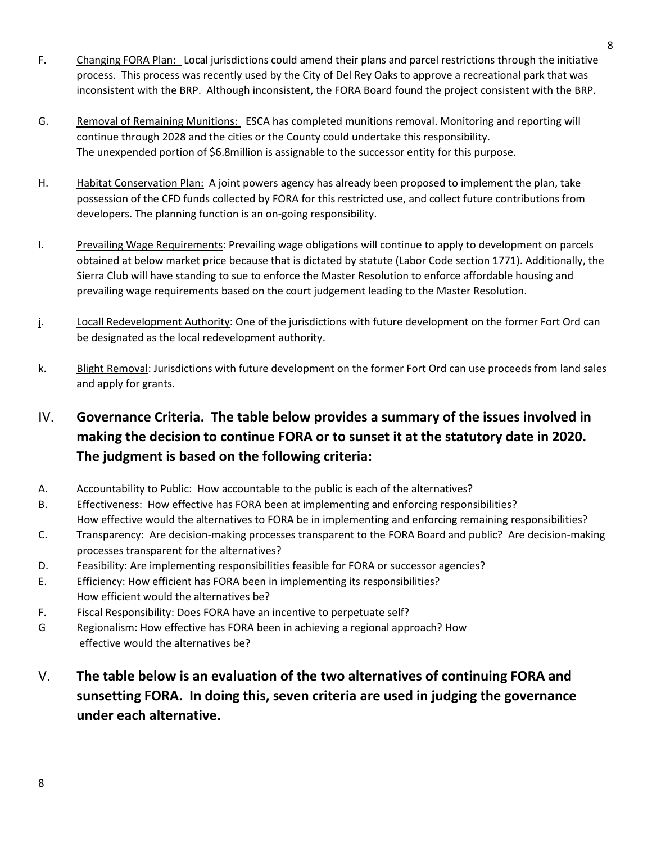- F. Changing FORA Plan: Local jurisdictions could amend their plans and parcel restrictions through the initiative process. This process was recently used by the City of Del Rey Oaks to approve a recreational park that was inconsistent with the BRP. Although inconsistent, the FORA Board found the project consistent with the BRP.
- G. Removal of Remaining Munitions: ESCA has completed munitions removal. Monitoring and reporting will continue through 2028 and the cities or the County could undertake this responsibility. The unexpended portion of \$6.8million is assignable to the successor entity for this purpose.
- H. Habitat Conservation Plan: A joint powers agency has already been proposed to implement the plan, take possession of the CFD funds collected by FORA for this restricted use, and collect future contributions from developers. The planning function is an on-going responsibility.
- I. Prevailing Wage Requirements: Prevailing wage obligations will continue to apply to development on parcels obtained at below market price because that is dictated by statute (Labor Code section 1771). Additionally, the Sierra Club will have standing to sue to enforce the Master Resolution to enforce affordable housing and prevailing wage requirements based on the court judgement leading to the Master Resolution.
- j. Locall Redevelopment Authority: One of the jurisdictions with future development on the former Fort Ord can be designated as the local redevelopment authority.
- k. Blight Removal: Jurisdictions with future development on the former Fort Ord can use proceeds from land sales and apply for grants.

# IV. **Governance Criteria. The table below provides a summary of the issues involved in making the decision to continue FORA or to sunset it at the statutory date in 2020. The judgment is based on the following criteria:**

- A. Accountability to Public: How accountable to the public is each of the alternatives?
- B. Effectiveness: How effective has FORA been at implementing and enforcing responsibilities? How effective would the alternatives to FORA be in implementing and enforcing remaining responsibilities?
- C. Transparency: Are decision-making processes transparent to the FORA Board and public? Are decision-making processes transparent for the alternatives?
- D. Feasibility: Are implementing responsibilities feasible for FORA or successor agencies?
- E. Efficiency: How efficient has FORA been in implementing its responsibilities? How efficient would the alternatives be?
- F. Fiscal Responsibility: Does FORA have an incentive to perpetuate self?
- G Regionalism: How effective has FORA been in achieving a regional approach? How effective would the alternatives be?

# V. **The table below is an evaluation of the two alternatives of continuing FORA and sunsetting FORA. In doing this, seven criteria are used in judging the governance under each alternative.**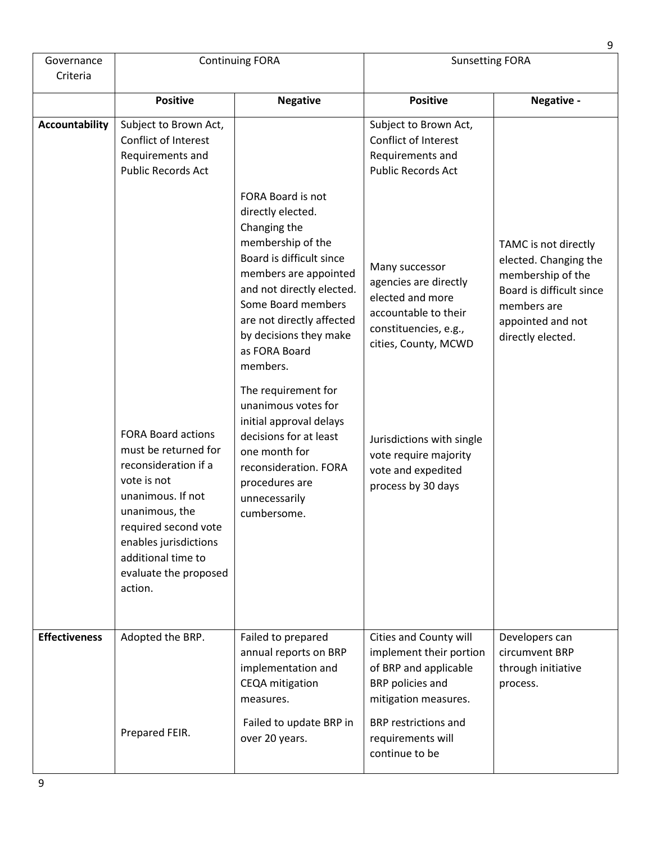|                        |                                                                                                                                                                                                                                                                                                                                              |                                                                                                                                                                                                                                                                                                                                                                                                                                                                       |                                                                                                                                                                                                                                                                                                                                          | 9                                                                                                                                                       |
|------------------------|----------------------------------------------------------------------------------------------------------------------------------------------------------------------------------------------------------------------------------------------------------------------------------------------------------------------------------------------|-----------------------------------------------------------------------------------------------------------------------------------------------------------------------------------------------------------------------------------------------------------------------------------------------------------------------------------------------------------------------------------------------------------------------------------------------------------------------|------------------------------------------------------------------------------------------------------------------------------------------------------------------------------------------------------------------------------------------------------------------------------------------------------------------------------------------|---------------------------------------------------------------------------------------------------------------------------------------------------------|
| Governance<br>Criteria | <b>Continuing FORA</b>                                                                                                                                                                                                                                                                                                                       |                                                                                                                                                                                                                                                                                                                                                                                                                                                                       | <b>Sunsetting FORA</b>                                                                                                                                                                                                                                                                                                                   |                                                                                                                                                         |
|                        | <b>Positive</b>                                                                                                                                                                                                                                                                                                                              | <b>Negative</b>                                                                                                                                                                                                                                                                                                                                                                                                                                                       | <b>Positive</b>                                                                                                                                                                                                                                                                                                                          | Negative -                                                                                                                                              |
| <b>Accountability</b>  | Subject to Brown Act,<br>Conflict of Interest<br>Requirements and<br><b>Public Records Act</b><br><b>FORA Board actions</b><br>must be returned for<br>reconsideration if a<br>vote is not<br>unanimous. If not<br>unanimous, the<br>required second vote<br>enables jurisdictions<br>additional time to<br>evaluate the proposed<br>action. | FORA Board is not<br>directly elected.<br>Changing the<br>membership of the<br>Board is difficult since<br>members are appointed<br>and not directly elected.<br>Some Board members<br>are not directly affected<br>by decisions they make<br>as FORA Board<br>members.<br>The requirement for<br>unanimous votes for<br>initial approval delays<br>decisions for at least<br>one month for<br>reconsideration. FORA<br>procedures are<br>unnecessarily<br>cumbersome | Subject to Brown Act,<br>Conflict of Interest<br>Requirements and<br><b>Public Records Act</b><br>Many successor<br>agencies are directly<br>elected and more<br>accountable to their<br>constituencies, e.g.,<br>cities, County, MCWD<br>Jurisdictions with single<br>vote require majority<br>vote and expedited<br>process by 30 days | TAMC is not directly<br>elected. Changing the<br>membership of the<br>Board is difficult since<br>members are<br>appointed and not<br>directly elected. |
| <b>Effectiveness</b>   | Adopted the BRP.<br>Prepared FEIR.                                                                                                                                                                                                                                                                                                           | Failed to prepared<br>annual reports on BRP<br>implementation and<br>CEQA mitigation<br>measures.<br>Failed to update BRP in<br>over 20 years.                                                                                                                                                                                                                                                                                                                        | Cities and County will<br>implement their portion<br>of BRP and applicable<br>BRP policies and<br>mitigation measures.<br><b>BRP</b> restrictions and<br>requirements will<br>continue to be                                                                                                                                             | Developers can<br>circumvent BRP<br>through initiative<br>process.                                                                                      |
|                        |                                                                                                                                                                                                                                                                                                                                              |                                                                                                                                                                                                                                                                                                                                                                                                                                                                       |                                                                                                                                                                                                                                                                                                                                          |                                                                                                                                                         |

9

 $\overline{a}$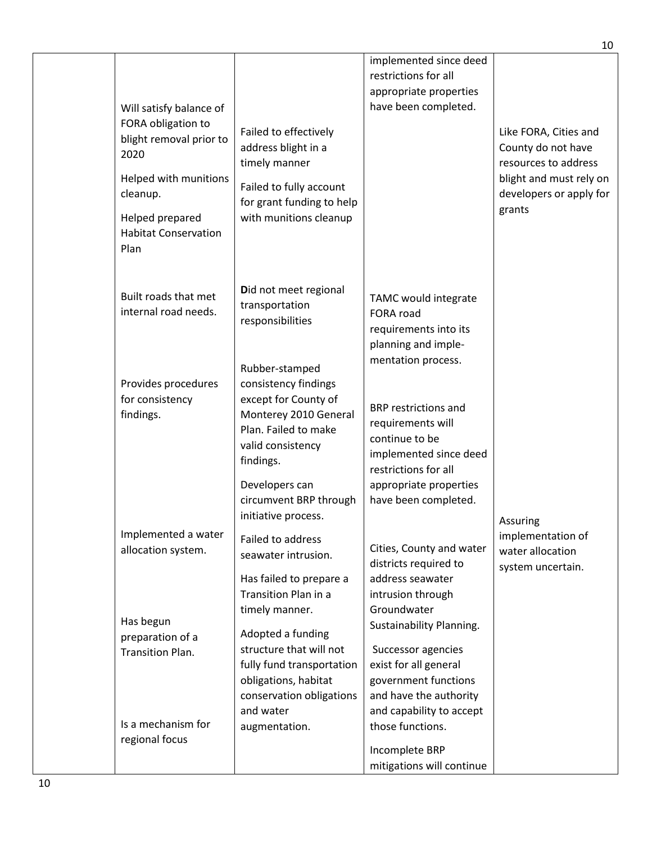| Will satisfy balance of<br>FORA obligation to<br>blight removal prior to<br>2020<br>Helped with munitions<br>cleanup.<br>Helped prepared<br><b>Habitat Conservation</b><br>Plan | Failed to effectively<br>address blight in a<br>timely manner<br>Failed to fully account<br>for grant funding to help<br>with munitions cleanup                                                                                                                                     | implemented since deed<br>restrictions for all<br>appropriate properties<br>have been completed.                                                                                                                                                                                                         | Like FORA, Cities and<br>County do not have<br>resources to address<br>blight and must rely on<br>developers or apply for<br>grants |
|---------------------------------------------------------------------------------------------------------------------------------------------------------------------------------|-------------------------------------------------------------------------------------------------------------------------------------------------------------------------------------------------------------------------------------------------------------------------------------|----------------------------------------------------------------------------------------------------------------------------------------------------------------------------------------------------------------------------------------------------------------------------------------------------------|-------------------------------------------------------------------------------------------------------------------------------------|
| Built roads that met<br>internal road needs.<br>Provides procedures<br>for consistency<br>findings.                                                                             | Did not meet regional<br>transportation<br>responsibilities<br>Rubber-stamped<br>consistency findings<br>except for County of<br>Monterey 2010 General<br>Plan. Failed to make<br>valid consistency<br>findings.<br>Developers can<br>circumvent BRP through<br>initiative process. | TAMC would integrate<br>FORA road<br>requirements into its<br>planning and imple-<br>mentation process.<br><b>BRP</b> restrictions and<br>requirements will<br>continue to be<br>implemented since deed<br>restrictions for all<br>appropriate properties<br>have been completed.                        |                                                                                                                                     |
| Implemented a water<br>allocation system.<br>Has begun<br>preparation of a<br><b>Transition Plan.</b><br>Is a mechanism for<br>regional focus                                   | Failed to address<br>seawater intrusion.<br>Has failed to prepare a<br>Transition Plan in a<br>timely manner.<br>Adopted a funding<br>structure that will not<br>fully fund transportation<br>obligations, habitat<br>conservation obligations<br>and water<br>augmentation.        | Cities, County and water<br>districts required to<br>address seawater<br>intrusion through<br>Groundwater<br>Sustainability Planning.<br>Successor agencies<br>exist for all general<br>government functions<br>and have the authority<br>and capability to accept<br>those functions.<br>Incomplete BRP | Assuring<br>implementation of<br>water allocation<br>system uncertain.                                                              |
|                                                                                                                                                                                 |                                                                                                                                                                                                                                                                                     | mitigations will continue                                                                                                                                                                                                                                                                                |                                                                                                                                     |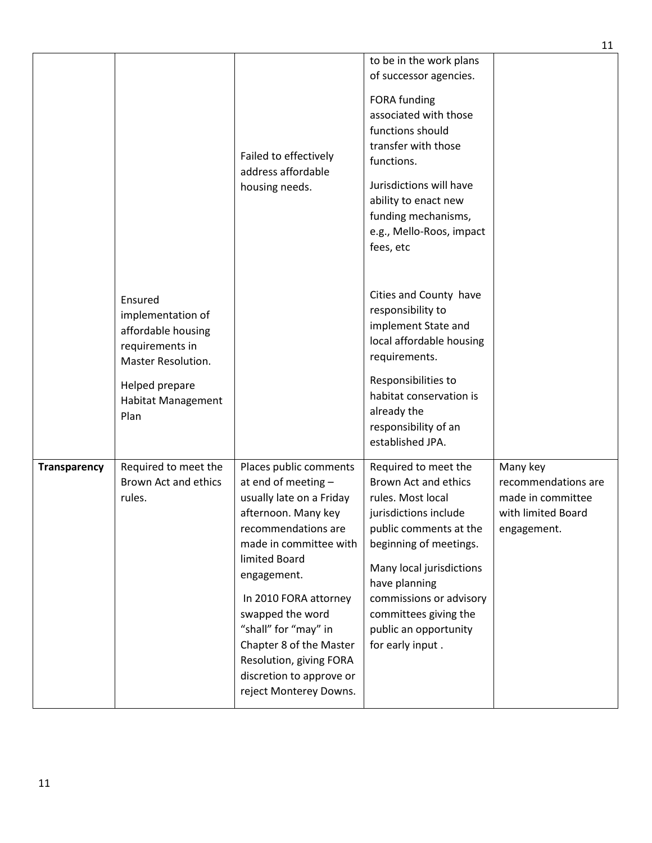|                     |                                                                                                                                                    | Failed to effectively<br>address affordable<br>housing needs.                                                                                                                                                                                                                                                                                                      | to be in the work plans<br>of successor agencies.<br>FORA funding<br>associated with those<br>functions should<br>transfer with those<br>functions.<br>Jurisdictions will have<br>ability to enact new<br>funding mechanisms,<br>e.g., Mello-Roos, impact<br>fees, etc                       |                                                                                           |
|---------------------|----------------------------------------------------------------------------------------------------------------------------------------------------|--------------------------------------------------------------------------------------------------------------------------------------------------------------------------------------------------------------------------------------------------------------------------------------------------------------------------------------------------------------------|----------------------------------------------------------------------------------------------------------------------------------------------------------------------------------------------------------------------------------------------------------------------------------------------|-------------------------------------------------------------------------------------------|
|                     | Ensured<br>implementation of<br>affordable housing<br>requirements in<br>Master Resolution.<br>Helped prepare<br><b>Habitat Management</b><br>Plan |                                                                                                                                                                                                                                                                                                                                                                    | Cities and County have<br>responsibility to<br>implement State and<br>local affordable housing<br>requirements.<br>Responsibilities to<br>habitat conservation is<br>already the<br>responsibility of an<br>established JPA.                                                                 |                                                                                           |
| <b>Transparency</b> | Required to meet the<br>Brown Act and ethics<br>rules.                                                                                             | Places public comments<br>at end of meeting -<br>usually late on a Friday<br>afternoon. Many key<br>recommendations are<br>made in committee with<br>limited Board<br>engagement.<br>In 2010 FORA attorney<br>swapped the word<br>"shall" for "may" in<br>Chapter 8 of the Master<br>Resolution, giving FORA<br>discretion to approve or<br>reject Monterey Downs. | Required to meet the<br>Brown Act and ethics<br>rules. Most local<br>jurisdictions include<br>public comments at the<br>beginning of meetings.<br>Many local jurisdictions<br>have planning<br>commissions or advisory<br>committees giving the<br>public an opportunity<br>for early input. | Many key<br>recommendations are<br>made in committee<br>with limited Board<br>engagement. |